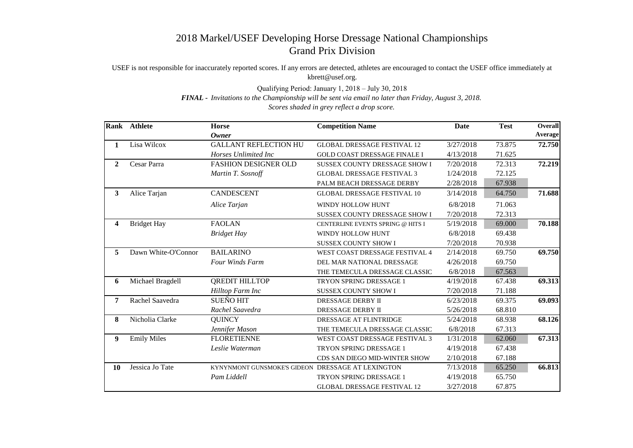## 2018 Markel/USEF Developing Horse Dressage National Championships Grand Prix Division

USEF is not responsible for inaccurately reported scores. If any errors are detected, athletes are encouraged to contact the USEF office immediately at kbrett@usef.org.

Qualifying Period: January 1, 2018 – July 30, 2018

*FINAL - Invitations to the Championship will be sent via email no later than Friday, August 3, 2018.*

*Scores shaded in grey reflect a drop score.*

|                | Rank Athlete        | <b>Horse</b>                                      | <b>Competition Name</b>             | <b>Date</b> | <b>Test</b> | <b>Overall</b> |
|----------------|---------------------|---------------------------------------------------|-------------------------------------|-------------|-------------|----------------|
|                |                     | <b>Owner</b>                                      |                                     |             |             | Average        |
| 1              | Lisa Wilcox         | <b>GALLANT REFLECTION HU</b>                      | <b>GLOBAL DRESSAGE FESTIVAL 12</b>  | 3/27/2018   | 73.875      | 72.750         |
|                |                     | Horses Unlimited Inc                              | <b>GOLD COAST DRESSAGE FINALE I</b> | 4/13/2018   | 71.625      |                |
| $\overline{2}$ | Cesar Parra         | <b>FASHION DESIGNER OLD</b>                       | SUSSEX COUNTY DRESSAGE SHOW I       | 7/20/2018   | 72.313      | 72.219         |
|                |                     | Martin T. Sosnoff                                 | <b>GLOBAL DRESSAGE FESTIVAL 3</b>   | 1/24/2018   | 72.125      |                |
|                |                     |                                                   | PALM BEACH DRESSAGE DERBY           | 2/28/2018   | 67.938      |                |
| $\mathbf{3}$   | Alice Tarjan        | <b>CANDESCENT</b>                                 | <b>GLOBAL DRESSAGE FESTIVAL 10</b>  | 3/14/2018   | 64.750      | 71.688         |
|                |                     | Alice Tarjan                                      | WINDY HOLLOW HUNT                   | 6/8/2018    | 71.063      |                |
|                |                     |                                                   | SUSSEX COUNTY DRESSAGE SHOW I       | 7/20/2018   | 72.313      |                |
| 4              | <b>Bridget Hay</b>  | <b>FAOLAN</b>                                     | CENTERLINE EVENTS SPRING @ HITS I   | 5/19/2018   | 69.000      | 70.188         |
|                |                     | <b>Bridget Hay</b>                                | WINDY HOLLOW HUNT                   | 6/8/2018    | 69.438      |                |
|                |                     |                                                   | <b>SUSSEX COUNTY SHOW I</b>         | 7/20/2018   | 70.938      |                |
| 5              | Dawn White-O'Connor | <b>BAILARINO</b>                                  | WEST COAST DRESSAGE FESTIVAL 4      | 2/14/2018   | 69.750      | 69.750         |
|                |                     | <b>Four Winds Farm</b>                            | DEL MAR NATIONAL DRESSAGE           | 4/26/2018   | 69.750      |                |
|                |                     |                                                   | THE TEMECULA DRESSAGE CLASSIC       | 6/8/2018    | 67.563      |                |
| 6              | Michael Bragdell    | <b>QREDIT HILLTOP</b>                             | TRYON SPRING DRESSAGE 1             | 4/19/2018   | 67.438      | 69.313         |
|                |                     | Hilltop Farm Inc                                  | <b>SUSSEX COUNTY SHOW I</b>         | 7/20/2018   | 71.188      |                |
| $\overline{7}$ | Rachel Saavedra     | <b>SUEÑO HIT</b>                                  | DRESSAGE DERBY II                   | 6/23/2018   | 69.375      | 69.093         |
|                |                     | Rachel Saavedra                                   | <b>DRESSAGE DERBY II</b>            | 5/26/2018   | 68.810      |                |
| 8              | Nicholia Clarke     | <b>QUINCY</b>                                     | DRESSAGE AT FLINTRIDGE              | 5/24/2018   | 68.938      | 68.126         |
|                |                     | Jennifer Mason                                    | THE TEMECULA DRESSAGE CLASSIC       | 6/8/2018    | 67.313      |                |
| 9              | <b>Emily Miles</b>  | <b>FLORETIENNE</b>                                | WEST COAST DRESSAGE FESTIVAL 3      | 1/31/2018   | 62.060      | 67.313         |
|                |                     | Leslie Waterman                                   | TRYON SPRING DRESSAGE 1             | 4/19/2018   | 67.438      |                |
|                |                     |                                                   | CDS SAN DIEGO MID-WINTER SHOW       | 2/10/2018   | 67.188      |                |
| 10             | Jessica Jo Tate     | KYNYNMONT GUNSMOKE'S GIDEON DRESSAGE AT LEXINGTON |                                     | 7/13/2018   | 65.250      | 66.813         |
|                |                     | Pam Liddell                                       | TRYON SPRING DRESSAGE 1             | 4/19/2018   | 65.750      |                |
|                |                     |                                                   | <b>GLOBAL DRESSAGE FESTIVAL 12</b>  | 3/27/2018   | 67.875      |                |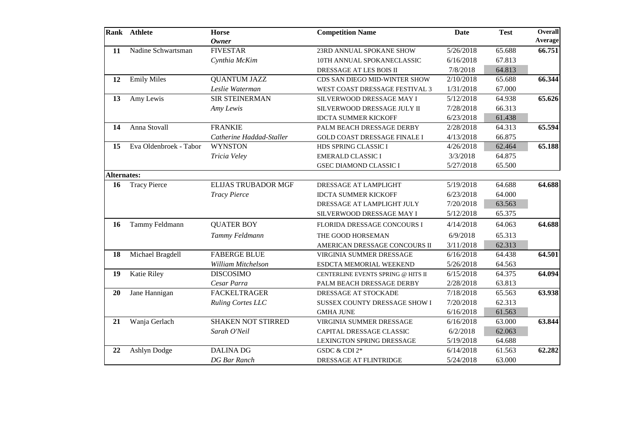|                    | Rank Athlete           | <b>Horse</b><br><b>Owner</b> | <b>Competition Name</b>             | <b>Date</b> | <b>Test</b> | <b>Overall</b><br>Average |
|--------------------|------------------------|------------------------------|-------------------------------------|-------------|-------------|---------------------------|
| 11                 | Nadine Schwartsman     | <b>FIVESTAR</b>              | 23RD ANNUAL SPOKANE SHOW            | 5/26/2018   | 65.688      | 66.751                    |
|                    |                        | Cynthia McKim                | 10TH ANNUAL SPOKANECLASSIC          | 6/16/2018   | 67.813      |                           |
|                    |                        |                              | DRESSAGE AT LES BOIS II             | 7/8/2018    | 64.813      |                           |
| 12                 | <b>Emily Miles</b>     | <b>QUANTUM JAZZ</b>          | CDS SAN DIEGO MID-WINTER SHOW       | 2/10/2018   | 65.688      | 66.344                    |
|                    |                        | Leslie Waterman              | WEST COAST DRESSAGE FESTIVAL 3      | 1/31/2018   | 67.000      |                           |
| 13                 | Amy Lewis              | <b>SIR STEINERMAN</b>        | SILVERWOOD DRESSAGE MAY I           | 5/12/2018   | 64.938      | 65.626                    |
|                    |                        | Amy Lewis                    | SILVERWOOD DRESSAGE JULY II         | 7/28/2018   | 66.313      |                           |
|                    |                        |                              | <b>IDCTA SUMMER KICKOFF</b>         | 6/23/2018   | 61.438      |                           |
| 14                 | Anna Stovall           | <b>FRANKIE</b>               | PALM BEACH DRESSAGE DERBY           | 2/28/2018   | 64.313      | 65.594                    |
|                    |                        | Catherine Haddad-Staller     | <b>GOLD COAST DRESSAGE FINALE I</b> | 4/13/2018   | 66.875      |                           |
| 15                 | Eva Oldenbroek - Tabor | <b>WYNSTON</b>               | HDS SPRING CLASSIC I                | 4/26/2018   | 62.464      | 65.188                    |
|                    |                        | Tricia Veley                 | <b>EMERALD CLASSIC I</b>            | 3/3/2018    | 64.875      |                           |
|                    |                        |                              | <b>GSEC DIAMOND CLASSIC I</b>       | 5/27/2018   | 65.500      |                           |
| <b>Alternates:</b> |                        |                              |                                     |             |             |                           |
| 16                 | <b>Tracy Pierce</b>    | <b>ELIJAS TRUBADOR MGF</b>   | DRESSAGE AT LAMPLIGHT               | 5/19/2018   | 64.688      | 64.688                    |
|                    |                        | <b>Tracy Pierce</b>          | <b>IDCTA SUMMER KICKOFF</b>         | 6/23/2018   | 64.000      |                           |
|                    |                        |                              | DRESSAGE AT LAMPLIGHT JULY          | 7/20/2018   | 63.563      |                           |
|                    |                        |                              | SILVERWOOD DRESSAGE MAY I           | 5/12/2018   | 65.375      |                           |
| 16                 | Tammy Feldmann         | <b>QUATER BOY</b>            | FLORIDA DRESSAGE CONCOURS I         | 4/14/2018   | 64.063      | 64.688                    |
|                    |                        | Tammy Feldmann               | THE GOOD HORSEMAN                   | 6/9/2018    | 65.313      |                           |
|                    |                        |                              | AMERICAN DRESSAGE CONCOURS II       | 3/11/2018   | 62.313      |                           |
| 18                 | Michael Bragdell       | <b>FABERGE BLUE</b>          | VIRGINIA SUMMER DRESSAGE            | 6/16/2018   | 64.438      | 64.501                    |
|                    |                        | William Mitchelson           | ESDCTA MEMORIAL WEEKEND             | 5/26/2018   | 64.563      |                           |
| 19                 | <b>Katie Riley</b>     | <b>DISCOSIMO</b>             | CENTERLINE EVENTS SPRING @ HITS II  | 6/15/2018   | 64.375      | 64.094                    |
|                    |                        | Cesar Parra                  | PALM BEACH DRESSAGE DERBY           | 2/28/2018   | 63.813      |                           |
| 20                 | Jane Hannigan          | <b>FACKELTRAGER</b>          | DRESSAGE AT STOCKADE                | 7/18/2018   | 65.563      | 63.938                    |
|                    |                        | <b>Ruling Cortes LLC</b>     | SUSSEX COUNTY DRESSAGE SHOW I       | 7/20/2018   | 62.313      |                           |
|                    |                        |                              | <b>GMHA JUNE</b>                    | 6/16/2018   | 61.563      |                           |
| 21                 | Wanja Gerlach          | <b>SHAKEN NOT STIRRED</b>    | VIRGINIA SUMMER DRESSAGE            | 6/16/2018   | 63.000      | 63.844                    |
|                    |                        | Sarah O'Neil                 | CAPITAL DRESSAGE CLASSIC            | 6/2/2018    | 62.063      |                           |
|                    |                        |                              | LEXINGTON SPRING DRESSAGE           | 5/19/2018   | 64.688      |                           |
| 22                 | <b>Ashlyn Dodge</b>    | <b>DALINA DG</b>             | GSDC & CDI 2*                       | 6/14/2018   | 61.563      | 62.282                    |
|                    |                        | <b>DG</b> Bar Ranch          | DRESSAGE AT FLINTRIDGE              | 5/24/2018   | 63.000      |                           |